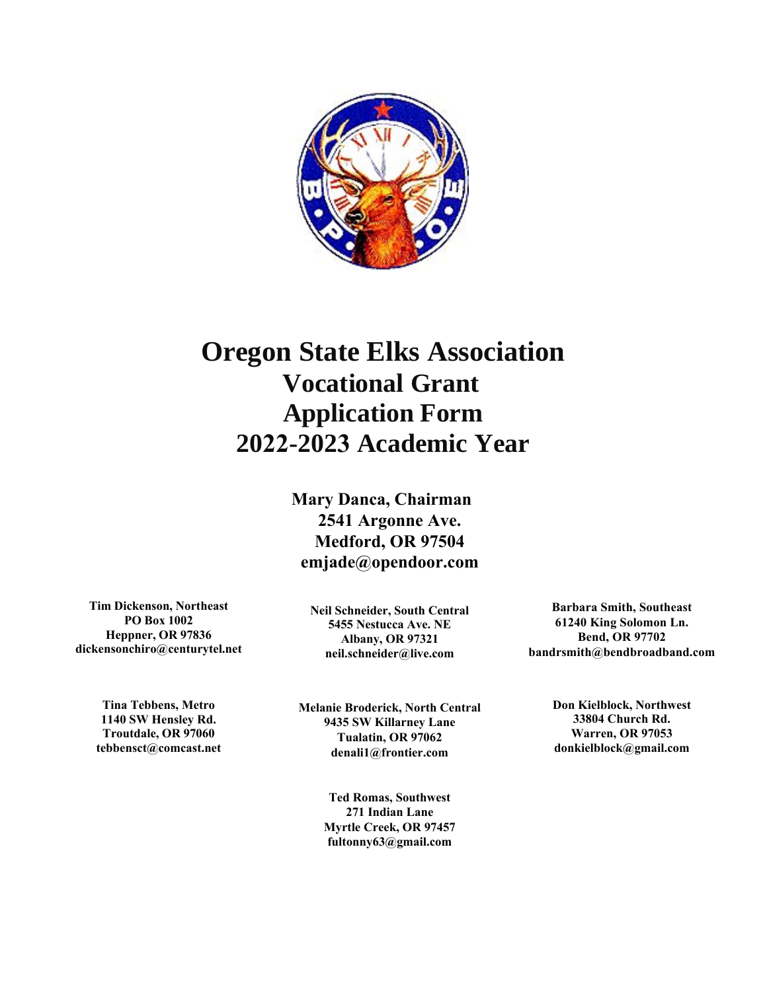

# **Oregon State Elks Association Vocational Grant Application Form 2022-2023 Academic Year**

# **Mary Danca, Chairman 2541 Argonne Ave. Medford, OR 97504 [emjade@opendoor.co](mailto:johnefid@hoodriver.net)m**

**Tim Dickenson, Northeast PO Box 1002 Heppner, OR 97836 dickensonchiro@centurytel.net**

> **Tina Tebbens, Metro 1140 SW Hensley Rd. Troutdale, OR 97060 tebbensct@comcast.net**

**Neil Schneider, South Central 5455 Nestucca Ave. NE Albany, OR 97321 neil.schneider@live.com**

**Melanie Broderick, North Central 9435 SW Killarney Lane Tualatin, OR 97062 denali1@frontier.com**

> **Ted Romas, Southwest 271 Indian Lane Myrtle Creek, OR 97457 fultonny63@gmail.com**

**Barbara Smith, Southeast 61240 King Solomon Ln. Bend, OR 97702 bandrsmith@bendbroadband.com**

> **Don Kielblock, Northwest 33804 Church Rd. Warren, OR 97053 donkielblock@gmail.com**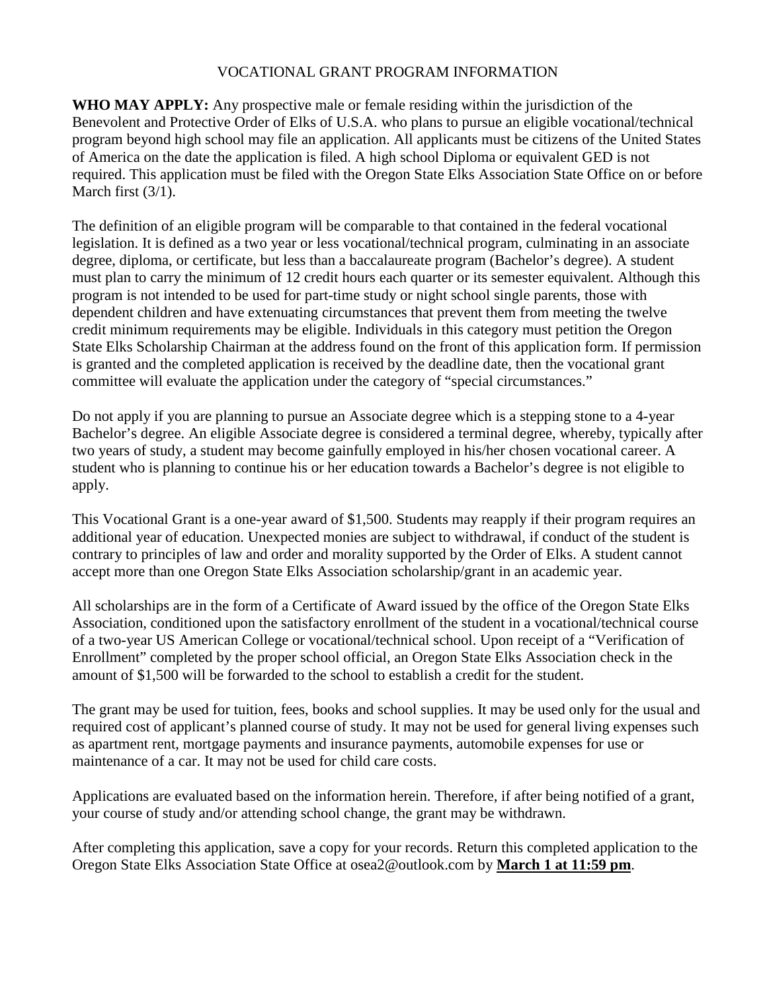#### VOCATIONAL GRANT PROGRAM INFORMATION

**WHO MAY APPLY:** Any prospective male or female residing within the jurisdiction of the Benevolent and Protective Order of Elks of U.S.A. who plans to pursue an eligible vocational/technical program beyond high school may file an application. All applicants must be citizens of the United States of America on the date the application is filed. A high school Diploma or equivalent GED is not required. This application must be filed with the Oregon State Elks Association State Office on or before March first  $(3/1)$ .

The definition of an eligible program will be comparable to that contained in the federal vocational legislation. It is defined as a two year or less vocational/technical program, culminating in an associate degree, diploma, or certificate, but less than a baccalaureate program (Bachelor's degree). A student must plan to carry the minimum of 12 credit hours each quarter or its semester equivalent. Although this program is not intended to be used for part-time study or night school single parents, those with dependent children and have extenuating circumstances that prevent them from meeting the twelve credit minimum requirements may be eligible. Individuals in this category must petition the Oregon State Elks Scholarship Chairman at the address found on the front of this application form. If permission is granted and the completed application is received by the deadline date, then the vocational grant committee will evaluate the application under the category of "special circumstances."

Do not apply if you are planning to pursue an Associate degree which is a stepping stone to a 4-year Bachelor's degree. An eligible Associate degree is considered a terminal degree, whereby, typically after two years of study, a student may become gainfully employed in his/her chosen vocational career. A student who is planning to continue his or her education towards a Bachelor's degree is not eligible to apply.

This Vocational Grant is a one-year award of \$1,500. Students may reapply if their program requires an additional year of education. Unexpected monies are subject to withdrawal, if conduct of the student is contrary to principles of law and order and morality supported by the Order of Elks. A student cannot accept more than one Oregon State Elks Association scholarship/grant in an academic year.

All scholarships are in the form of a Certificate of Award issued by the office of the Oregon State Elks Association, conditioned upon the satisfactory enrollment of the student in a vocational/technical course of a two-year US American College or vocational/technical school. Upon receipt of a "Verification of Enrollment" completed by the proper school official, an Oregon State Elks Association check in the amount of \$1,500 will be forwarded to the school to establish a credit for the student.

The grant may be used for tuition, fees, books and school supplies. It may be used only for the usual and required cost of applicant's planned course of study. It may not be used for general living expenses such as apartment rent, mortgage payments and insurance payments, automobile expenses for use or maintenance of a car. It may not be used for child care costs.

Applications are evaluated based on the information herein. Therefore, if after being notified of a grant, your course of study and/or attending school change, the grant may be withdrawn.

After completing this application, save a copy for your records. Return this completed application to the Oregon State Elks Association State Office at osea2@outlook.com by **March 1 at 11:59 pm**.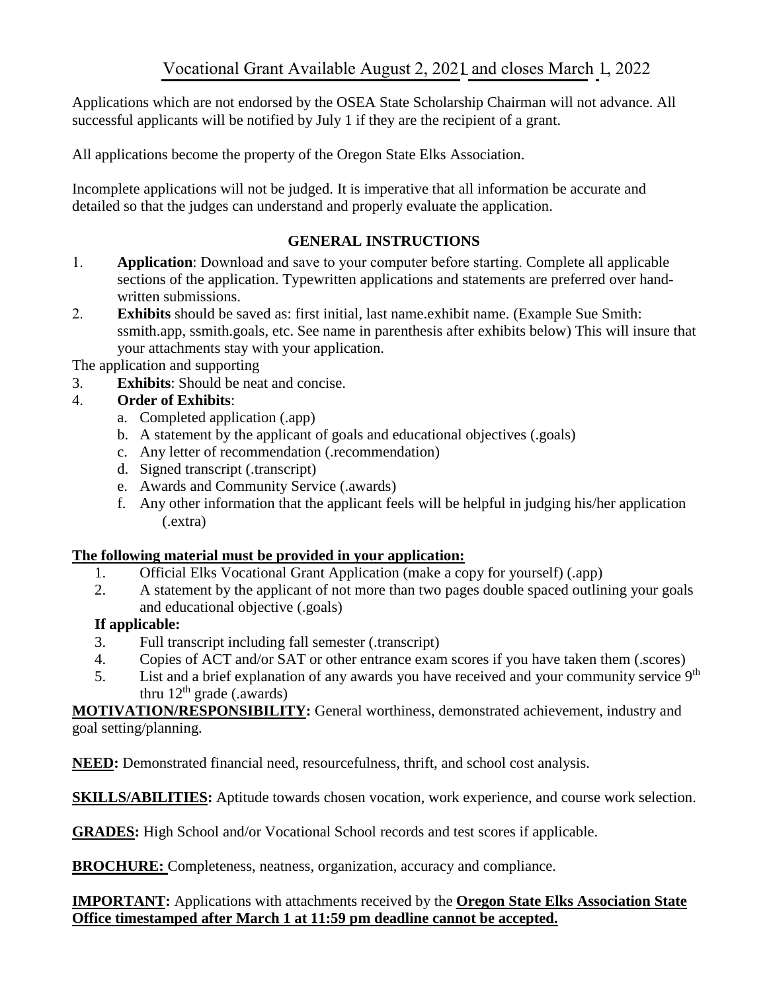Applications which are not endorsed by the OSEA State Scholarship Chairman will not advance. All successful applicants will be notified by July 1 if they are the recipient of a grant.

All applications become the property of the Oregon State Elks Association.

Incomplete applications will not be judged. It is imperative that all information be accurate and detailed so that the judges can understand and properly evaluate the application.

#### **GENERAL INSTRUCTIONS**

- 1. **Application**: Download and save to your computer before starting. Complete all applicable sections of the application. Typewritten applications and statements are preferred over handwritten submissions.
- 2. **Exhibits** should be saved as: first initial, last name.exhibit name. (Example Sue Smith: ssmith.app, ssmith.goals, etc. See name in parenthesis after exhibits below) This will insure that your attachments stay with your application.

The application and supporting

3. **Exhibits**: Should be neat and concise.

## 4. **Order of Exhibits**:

- a. Completed application (.app)
- b. A statement by the applicant of goals and educational objectives (.goals)
- c. Any letter of recommendation (.recommendation)
- d. Signed transcript (.transcript)
- e. Awards and Community Service (.awards)
- f. Any other information that the applicant feels will be helpful in judging his/her application (.extra)

#### **The following material must be provided in your application:**

- 1. Official Elks Vocational Grant Application (make a copy for yourself) (.app)
- 2. A statement by the applicant of not more than two pages double spaced outlining your goals and educational objective (.goals)

## **If applicable:**

- 3. Full transcript including fall semester (.transcript)
- 4. Copies of ACT and/or SAT or other entrance exam scores if you have taken them (.scores)
- 5. List and a brief explanation of any awards you have received and your community service 9<sup>th</sup> thru  $12<sup>th</sup>$  grade (.awards)

**MOTIVATION/RESPONSIBILITY:** General worthiness, demonstrated achievement, industry and goal setting/planning.

**NEED:** Demonstrated financial need, resourcefulness, thrift, and school cost analysis.

**SKILLS/ABILITIES:** Aptitude towards chosen vocation, work experience, and course work selection.

**GRADES:** High School and/or Vocational School records and test scores if applicable.

**BROCHURE:** Completeness, neatness, organization, accuracy and compliance.

#### **IMPORTANT:** Applications with attachments received by the **Oregon State Elks Association State Office timestamped after March 1 at 11:59 pm deadline cannot be accepted.**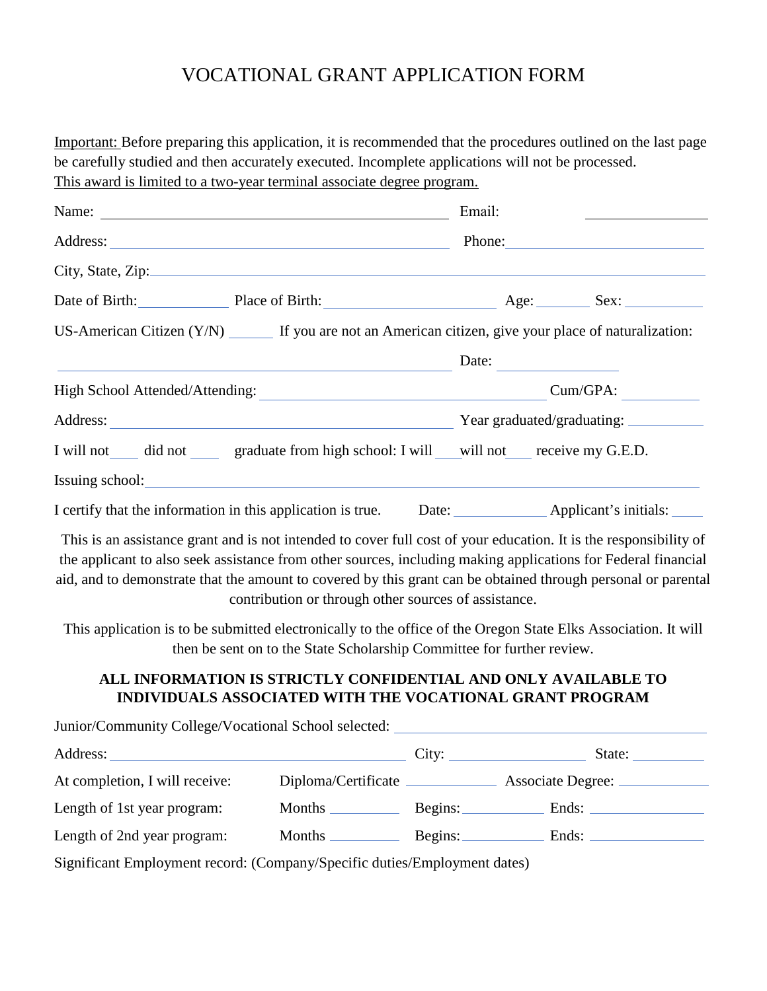# VOCATIONAL GRANT APPLICATION FORM

Important: Before preparing this application, it is recommended that the procedures outlined on the last page be carefully studied and then accurately executed. Incomplete applications will not be processed. This award is limited to a two-year terminal associate degree program.

| Name:                                                                                                                                                                                                                                                                                                                                               | Email:   |
|-----------------------------------------------------------------------------------------------------------------------------------------------------------------------------------------------------------------------------------------------------------------------------------------------------------------------------------------------------|----------|
|                                                                                                                                                                                                                                                                                                                                                     | Phone:   |
| City, State, Zip:                                                                                                                                                                                                                                                                                                                                   |          |
| Date of Birth: Place of Birth: <u>Place of Birth:</u> Age: Sex:                                                                                                                                                                                                                                                                                     |          |
| US-American Citizen $(Y/N)$ If you are not an American citizen, give your place of naturalization:                                                                                                                                                                                                                                                  |          |
| <u> 1980 - Johann Barbara, martin amerikan basal dan berasal dalam basal dalam basal dalam basal dalam basal dala</u>                                                                                                                                                                                                                               | Date:    |
| High School Attended/Attending: 2002 2003 2004 2012 2023 2024 2022 2023 2024 2022 2023 2024 2022 2023 2024 202                                                                                                                                                                                                                                      | Cum/GPA: |
|                                                                                                                                                                                                                                                                                                                                                     |          |
| I will not did not graduate from high school: I will will not receive my G.E.D.                                                                                                                                                                                                                                                                     |          |
|                                                                                                                                                                                                                                                                                                                                                     |          |
| I certify that the information in this application is true. Date: ______________ Applicant's initials: ______                                                                                                                                                                                                                                       |          |
| This is an assistance grant and is not intended to cover full cost of your education. It is the responsibility of<br>the applicant to also seek assistance from other sources, including making applications for Federal financial<br>aid, and to demonstrate that the amount to covered by this grant can be obtained through personal or parental |          |

contribution or through other sources of assistance.

This application is to be submitted electronically to the office of the Oregon State Elks Association. It will then be sent on to the State Scholarship Committee for further review.

# **ALL INFORMATION IS STRICTLY CONFIDENTIAL AND ONLY AVAILABLE TO INDIVIDUALS ASSOCIATED WITH THE VOCATIONAL GRANT PROGRAM**

| Junior/Community College/Vocational School selected:                                                                                                                                                                                                                                                                           |                   |       |                      |
|--------------------------------------------------------------------------------------------------------------------------------------------------------------------------------------------------------------------------------------------------------------------------------------------------------------------------------|-------------------|-------|----------------------|
|                                                                                                                                                                                                                                                                                                                                |                   | City: | State:               |
| At completion, I will receive:                                                                                                                                                                                                                                                                                                 |                   |       |                      |
| Length of 1st year program:                                                                                                                                                                                                                                                                                                    |                   |       | Months Begins: Ends: |
| Length of 2nd year program:                                                                                                                                                                                                                                                                                                    | Months <u>and</u> |       | Begins: Ends:        |
| $\mathcal{C}_{i}$ with ont $\Gamma_{i}$ $\Gamma_{i}$ and $\Gamma_{i}$ and $\Gamma_{i}$ $\Gamma_{i}$ $\Gamma_{i}$ and $\Gamma_{i}$ and $\Gamma_{i}$ and $\Gamma_{i}$ and $\Gamma_{i}$ and $\Gamma_{i}$ and $\Gamma_{i}$ and $\Gamma_{i}$ and $\Gamma_{i}$ and $\Gamma_{i}$ and $\Gamma_{i}$ and $\Gamma_{i}$ and $\Gamma_{i}$ a |                   |       |                      |

Significant Employment record: (Company/Specific duties/Employment dates)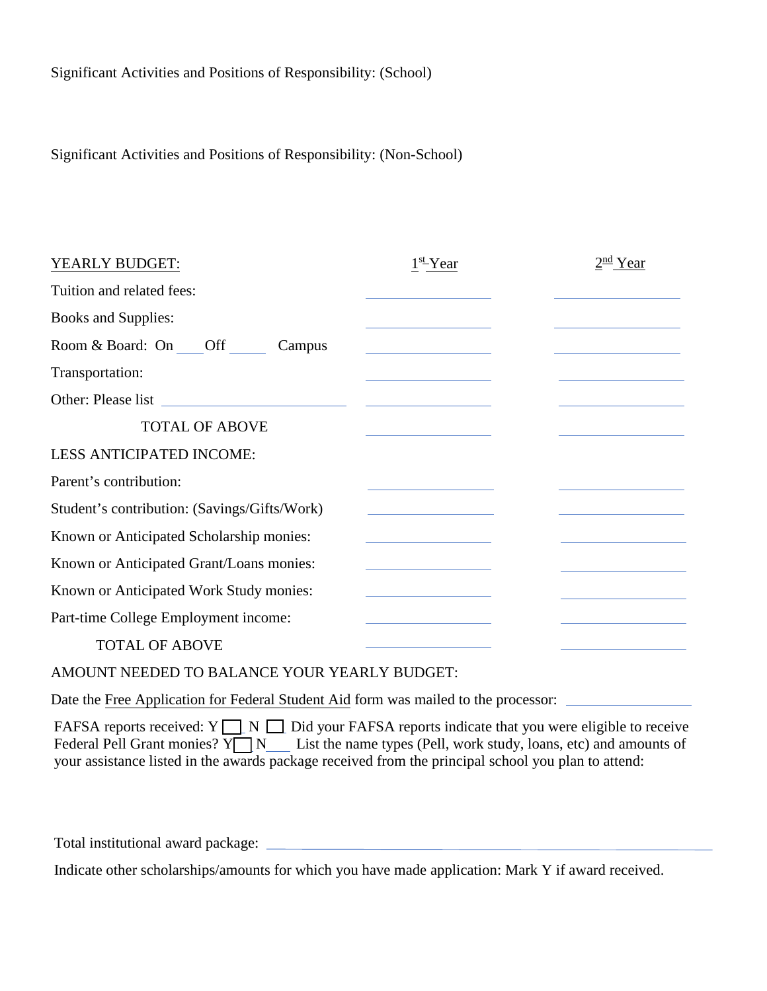Significant Activities and Positions of Responsibility: (Non-School)

| YEARLY BUDGET:                               | $1st$ Year                                                                                                                                                                                                                                                                                                                                                                                                                                                  | $2nd$ Year |
|----------------------------------------------|-------------------------------------------------------------------------------------------------------------------------------------------------------------------------------------------------------------------------------------------------------------------------------------------------------------------------------------------------------------------------------------------------------------------------------------------------------------|------------|
| Tuition and related fees:                    |                                                                                                                                                                                                                                                                                                                                                                                                                                                             |            |
| <b>Books and Supplies:</b>                   | the control of the control of the                                                                                                                                                                                                                                                                                                                                                                                                                           |            |
| Room & Board: On Off<br>Campus               | the control of the control of the control of                                                                                                                                                                                                                                                                                                                                                                                                                |            |
| Transportation:                              | the control of the control of the control of                                                                                                                                                                                                                                                                                                                                                                                                                |            |
|                                              |                                                                                                                                                                                                                                                                                                                                                                                                                                                             |            |
| <b>TOTAL OF ABOVE</b>                        |                                                                                                                                                                                                                                                                                                                                                                                                                                                             |            |
| LESS ANTICIPATED INCOME:                     |                                                                                                                                                                                                                                                                                                                                                                                                                                                             |            |
| Parent's contribution:                       |                                                                                                                                                                                                                                                                                                                                                                                                                                                             |            |
| Student's contribution: (Savings/Gifts/Work) | the control of the control of the control of                                                                                                                                                                                                                                                                                                                                                                                                                |            |
| Known or Anticipated Scholarship monies:     | the control of the control of the control of                                                                                                                                                                                                                                                                                                                                                                                                                |            |
| Known or Anticipated Grant/Loans monies:     | $\mathcal{L}(\mathcal{L}(\mathcal{L}(\mathcal{L}(\mathcal{L}(\mathcal{L}(\mathcal{L}(\mathcal{L}(\mathcal{L}(\mathcal{L}(\mathcal{L}(\mathcal{L}(\mathcal{L}(\mathcal{L}(\mathcal{L}(\mathcal{L}(\mathcal{L}(\mathcal{L}(\mathcal{L}(\mathcal{L}(\mathcal{L}(\mathcal{L}(\mathcal{L}(\mathcal{L}(\mathcal{L}(\mathcal{L}(\mathcal{L}(\mathcal{L}(\mathcal{L}(\mathcal{L}(\mathcal{L}(\mathcal{L}(\mathcal{L}(\mathcal{L}(\mathcal{L}(\mathcal{L}(\mathcal{$ |            |
| Known or Anticipated Work Study monies:      | <u> 1990 - Johann Barbara, politik e</u> ta eta eskualdea                                                                                                                                                                                                                                                                                                                                                                                                   |            |
| Part-time College Employment income:         |                                                                                                                                                                                                                                                                                                                                                                                                                                                             |            |
| <b>TOTAL OF ABOVE</b>                        |                                                                                                                                                                                                                                                                                                                                                                                                                                                             |            |
|                                              |                                                                                                                                                                                                                                                                                                                                                                                                                                                             |            |

AMOUNT NEEDED TO BALANCE YOUR YEARLY BUDGET:

Date the Free Application for Federal Student Aid form was mailed to the processor:

FAFSA reports received:  $Y \square N \square$  Did your FAFSA reports indicate that you were eligible to receive Federal Pell Grant monies?  $Y \cap N$  List the name types (Pell, work study, loans, etc) and amounts of your assistance listed in the awards package received from the principal school you plan to attend:

Total institutional award package:

Indicate other scholarships/amounts for which you have made application: Mark Y if award received.